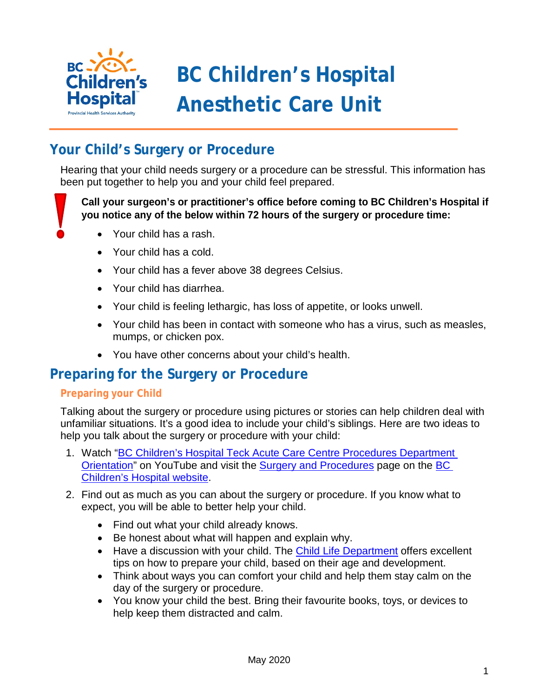

# **BC Children's Hospital Anesthetic Care Unit**

# **Your Child's Surgery or Procedure**

Hearing that your child needs surgery or a procedure can be stressful. This information has been put together to help you and your child feel prepared.

**Call your surgeon's or practitioner's office before coming to BC Children's Hospital if you notice any of the below within 72 hours of the surgery or procedure time:** 

- Your child has a rash.
- Your child has a cold.
- Your child has a fever above 38 degrees Celsius.
- Your child has diarrhea.
- Your child is feeling lethargic, has loss of appetite, or looks unwell.
- Your child has been in contact with someone who has a virus, such as measles, mumps, or chicken pox.
- You have other concerns about your child's health.

## **Preparing for the Surgery or Procedure**

#### **Preparing your Child**

Talking about the surgery or procedure using pictures or stories can help children deal with unfamiliar situations. It's a good idea to include your child's siblings. Here are two ideas to help you talk about the surgery or procedure with your child:

- 1. Watch ["BC Children's Hospital Teck Acute Care Centre Procedures Department](https://www.youtube.com/watch?v=705OCiewqVY&feature=youtu.be) [Orientation"](https://www.youtube.com/watch?v=705OCiewqVY&feature=youtu.be) on YouTube and visit the [Surgery and Procedures](http://www.bcchildrens.ca/our-services/hospital-services/surgery) page on the [BC](http://www.bcchildrens.ca/)  [Children's Hospital website.](http://www.bcchildrens.ca/)
- 2. Find out as much as you can about the surgery or procedure. If you know what to expect, you will be able to better help your child.
	- Find out what your child already knows.
	- Be honest about what will happen and explain why.
	- Have a discussion with your child. The **Child Life Department** offers excellent tips on how to prepare your child, based on their age and development.
	- Think about ways you can comfort your child and help them stay calm on the day of the surgery or procedure.
	- You know your child the best. Bring their favourite books, toys, or devices to help keep them distracted and calm.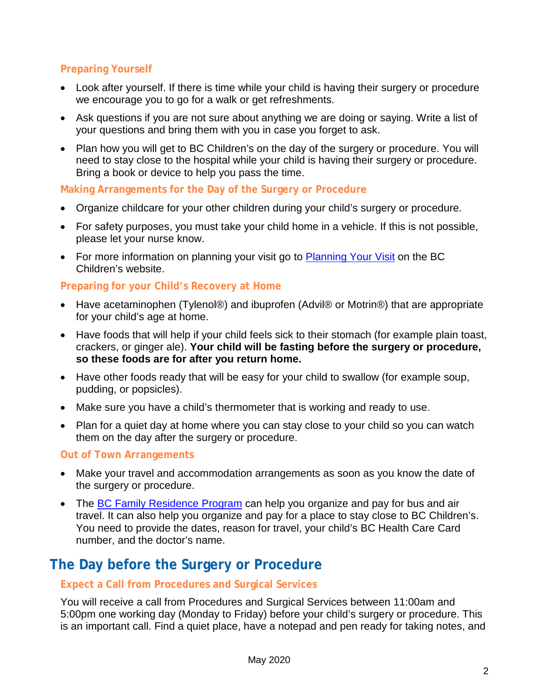### **Preparing Yourself**

- Look after yourself. If there is time while your child is having their surgery or procedure we encourage you to go for a walk or get refreshments.
- Ask questions if you are not sure about anything we are doing or saying. Write a list of your questions and bring them with you in case you forget to ask.
- Plan how you will get to BC Children's on the day of the surgery or procedure. You will need to stay close to the hospital while your child is having their surgery or procedure. Bring a book or device to help you pass the time.

#### **Making Arrangements for the Day of the Surgery or Procedure**

- Organize childcare for your other children during your child's surgery or procedure.
- For safety purposes, you must take your child home in a vehicle. If this is not possible, please let your nurse know.
- For more information on planning your visit go to [Planning Your Visit](http://www.bcchildrens.ca/our-services/your-visit/planning-your-visit) on the BC Children's website.

#### **Preparing for your Child's Recovery at Home**

- Have acetaminophen (Tylenol®) and ibuprofen (Advil® or Motrin®) that are appropriate for your child's age at home.
- Have foods that will help if your child feels sick to their stomach (for example plain toast, crackers, or ginger ale). **Your child will be fasting before the surgery or procedure, so these foods are for after you return home.**
- Have other foods ready that will be easy for your child to swallow (for example soup, pudding, or popsicles).
- Make sure you have a child's thermometer that is working and ready to use.
- Plan for a quiet day at home where you can stay close to your child so you can watch them on the day after the surgery or procedure.

#### **Out of Town Arrangements**

- Make your travel and accommodation arrangements as soon as you know the date of the surgery or procedure.
- The [BC Family Residence Program](https://www2.gov.bc.ca/gov/content/health/accessing-health-care/tap-bc/bc-family-residence-program) can help you organize and pay for bus and air travel. It can also help you organize and pay for a place to stay close to BC Children's. You need to provide the dates, reason for travel, your child's BC Health Care Card number, and the doctor's name.

# **The Day before the Surgery or Procedure**

#### **Expect a Call from Procedures and Surgical Services**

You will receive a call from Procedures and Surgical Services between 11:00am and 5:00pm one working day (Monday to Friday) before your child's surgery or procedure. This is an important call. Find a quiet place, have a notepad and pen ready for taking notes, and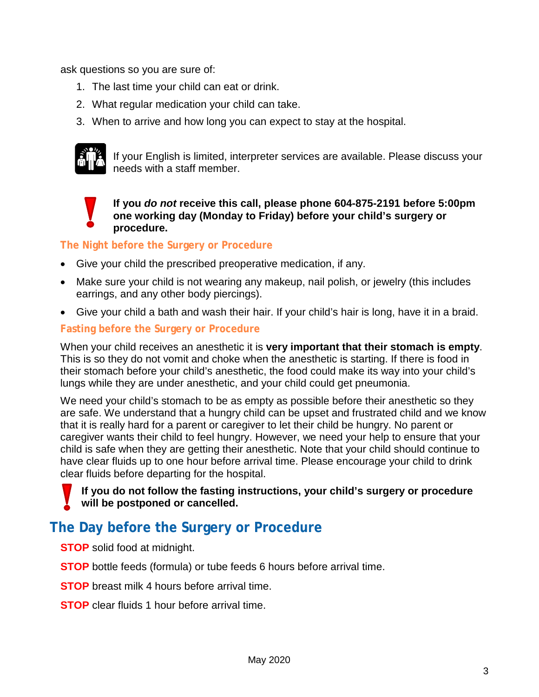ask questions so you are sure of:

- 1. The last time your child can eat or drink.
- 2. What regular medication your child can take.
- 3. When to arrive and how long you can expect to stay at the hospital.



If your English is limited, interpreter services are available. Please discuss your needs with a staff member.

**If you** *do not* **receive this call, please phone 604-875-2191 before 5:00pm one working day (Monday to Friday) before your child's surgery or procedure.**

**The Night before the Surgery or Procedure**

- Give your child the prescribed preoperative medication, if any.
- Make sure your child is not wearing any makeup, nail polish, or jewelry (this includes earrings, and any other body piercings).
- Give your child a bath and wash their hair. If your child's hair is long, have it in a braid.

### **Fasting before the Surgery or Procedure**

When your child receives an anesthetic it is **very important that their stomach is empty**. This is so they do not vomit and choke when the anesthetic is starting. If there is food in their stomach before your child's anesthetic, the food could make its way into your child's lungs while they are under anesthetic, and your child could get pneumonia.

We need your child's stomach to be as empty as possible before their anesthetic so they are safe. We understand that a hungry child can be upset and frustrated child and we know that it is really hard for a parent or caregiver to let their child be hungry. No parent or caregiver wants their child to feel hungry. However, we need your help to ensure that your child is safe when they are getting their anesthetic. Note that your child should continue to have clear fluids up to one hour before arrival time. Please encourage your child to drink clear fluids before departing for the hospital.

#### **If you do not follow the fasting instructions, your child's surgery or procedure will be postponed or cancelled.**

# **The Day before the Surgery or Procedure**

**STOP** solid food at midnight.

**STOP** bottle feeds (formula) or tube feeds 6 hours before arrival time.

**STOP** breast milk 4 hours before arrival time.

**STOP** clear fluids 1 hour before arrival time.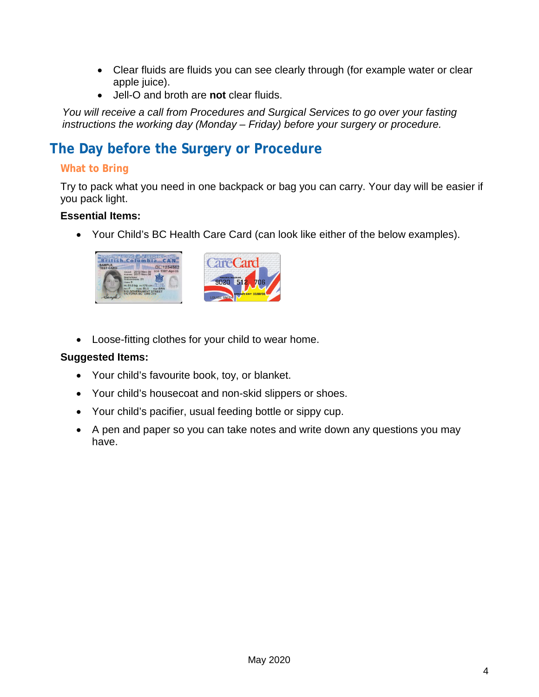- Clear fluids are fluids you can see clearly through (for example water or clear apple juice).
- Jell-O and broth are **not** clear fluids.

*You will receive a call from Procedures and Surgical Services to go over your fasting instructions the working day (Monday – Friday) before your surgery or procedure.*

# **The Day before the Surgery or Procedure**

### **What to Bring**

Try to pack what you need in one backpack or bag you can carry. Your day will be easier if you pack light.

#### **Essential Items:**

• Your Child's BC Health Care Card (can look like either of the below examples).



• Loose-fitting clothes for your child to wear home.

#### **Suggested Items:**

- Your child's favourite book, toy, or blanket.
- Your child's housecoat and non-skid slippers or shoes.
- Your child's pacifier, usual feeding bottle or sippy cup.
- A pen and paper so you can take notes and write down any questions you may have.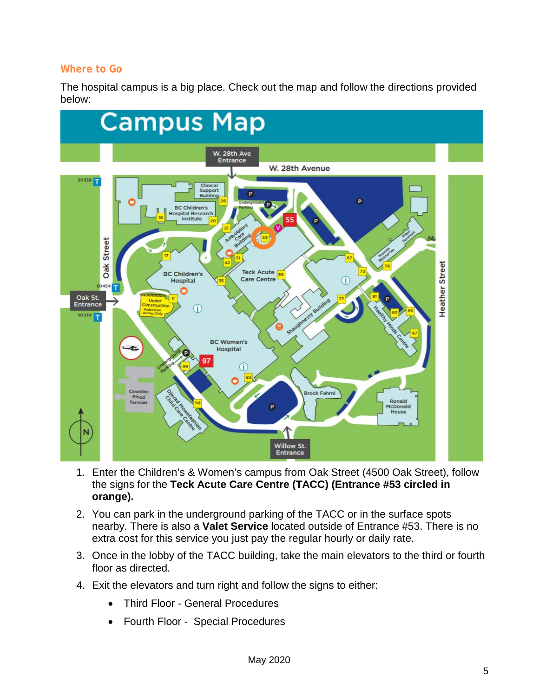#### **Where to Go**

The hospital campus is a big place. Check out the map and follow the directions provided below:



- 1. Enter the Children's & Women's campus from Oak Street (4500 Oak Street), follow the signs for the **Teck Acute Care Centre (TACC) (Entrance #53 circled in orange).**
- 2. You can park in the underground parking of the TACC or in the surface spots nearby. There is also a **Valet Service** located outside of Entrance #53. There is no extra cost for this service you just pay the regular hourly or daily rate.
- 3. Once in the lobby of the TACC building, take the main elevators to the third or fourth floor as directed.
- 4. Exit the elevators and turn right and follow the signs to either:
	- Third Floor General Procedures
	- Fourth Floor Special Procedures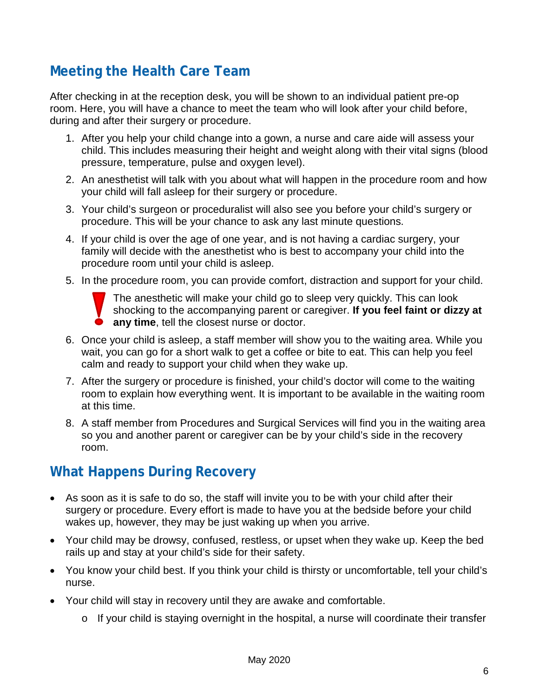# **Meeting the Health Care Team**

After checking in at the reception desk, you will be shown to an individual patient pre-op room. Here, you will have a chance to meet the team who will look after your child before, during and after their surgery or procedure.

- 1. After you help your child change into a gown, a nurse and care aide will assess your child. This includes measuring their height and weight along with their vital signs (blood pressure, temperature, pulse and oxygen level).
- 2. An anesthetist will talk with you about what will happen in the procedure room and how your child will fall asleep for their surgery or procedure.
- 3. Your child's surgeon or proceduralist will also see you before your child's surgery or procedure. This will be your chance to ask any last minute questions.
- 4. If your child is over the age of one year, and is not having a cardiac surgery, your family will decide with the anesthetist who is best to accompany your child into the procedure room until your child is asleep.
- 5. In the procedure room, you can provide comfort, distraction and support for your child.



The anesthetic will make your child go to sleep very quickly. This can look shocking to the accompanying parent or caregiver. **If you feel faint or dizzy at any time**, tell the closest nurse or doctor.

- 6. Once your child is asleep, a staff member will show you to the waiting area. While you wait, you can go for a short walk to get a coffee or bite to eat. This can help you feel calm and ready to support your child when they wake up.
- 7. After the surgery or procedure is finished, your child's doctor will come to the waiting room to explain how everything went. It is important to be available in the waiting room at this time.
- 8. A staff member from Procedures and Surgical Services will find you in the waiting area so you and another parent or caregiver can be by your child's side in the recovery room.

# **What Happens During Recovery**

- As soon as it is safe to do so, the staff will invite you to be with your child after their surgery or procedure. Every effort is made to have you at the bedside before your child wakes up, however, they may be just waking up when you arrive.
- Your child may be drowsy, confused, restless, or upset when they wake up. Keep the bed rails up and stay at your child's side for their safety.
- You know your child best. If you think your child is thirsty or uncomfortable, tell your child's nurse.
- Your child will stay in recovery until they are awake and comfortable.
	- o If your child is staying overnight in the hospital, a nurse will coordinate their transfer